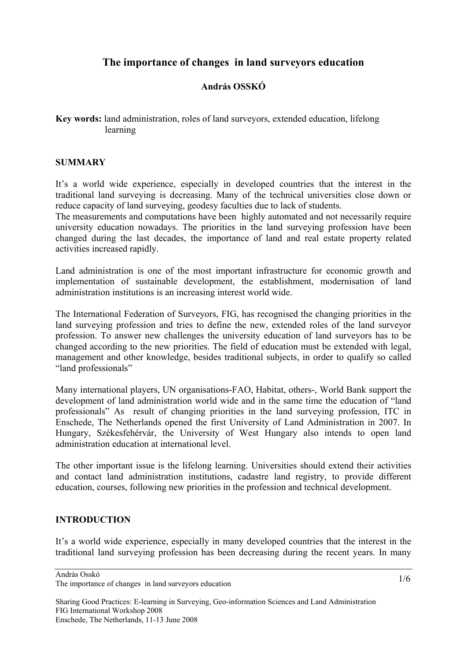# **The importance of changes in land surveyors education**

# **András OSSKÓ**

**Key words:** land administration, roles of land surveyors, extended education, lifelong learning

#### **SUMMARY**

It's a world wide experience, especially in developed countries that the interest in the traditional land surveying is decreasing. Many of the technical universities close down or reduce capacity of land surveying, geodesy faculties due to lack of students.

The measurements and computations have been highly automated and not necessarily require university education nowadays. The priorities in the land surveying profession have been changed during the last decades, the importance of land and real estate property related activities increased rapidly.

Land administration is one of the most important infrastructure for economic growth and implementation of sustainable development, the establishment, modernisation of land administration institutions is an increasing interest world wide.

The International Federation of Surveyors, FIG, has recognised the changing priorities in the land surveying profession and tries to define the new, extended roles of the land surveyor profession. To answer new challenges the university education of land surveyors has to be changed according to the new priorities. The field of education must be extended with legal, management and other knowledge, besides traditional subjects, in order to qualify so called "land professionals"

Many international players, UN organisations-FAO, Habitat, others-, World Bank support the development of land administration world wide and in the same time the education of "land professionals" As result of changing priorities in the land surveying profession, ITC in Enschede, The Netherlands opened the first University of Land Administration in 2007. In Hungary, Székesfehérvár, the University of West Hungary also intends to open land administration education at international level.

The other important issue is the lifelong learning. Universities should extend their activities and contact land administration institutions, cadastre land registry, to provide different education, courses, following new priorities in the profession and technical development.

# **INTRODUCTION**

It's a world wide experience, especially in many developed countries that the interest in the traditional land surveying profession has been decreasing during the recent years. In many

András Osskó

The importance of changes in land surveyors education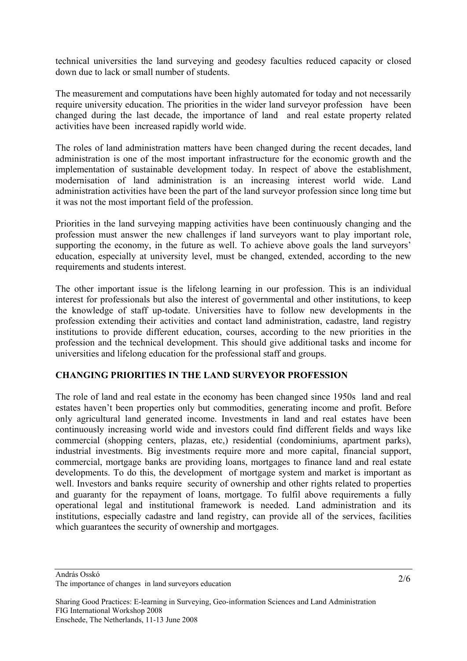technical universities the land surveying and geodesy faculties reduced capacity or closed down due to lack or small number of students.

The measurement and computations have been highly automated for today and not necessarily require university education. The priorities in the wider land surveyor profession have been changed during the last decade, the importance of land and real estate property related activities have been increased rapidly world wide.

The roles of land administration matters have been changed during the recent decades, land administration is one of the most important infrastructure for the economic growth and the implementation of sustainable development today. In respect of above the establishment, modernisation of land administration is an increasing interest world wide. Land administration activities have been the part of the land surveyor profession since long time but it was not the most important field of the profession.

Priorities in the land surveying mapping activities have been continuously changing and the profession must answer the new challenges if land surveyors want to play important role, supporting the economy, in the future as well. To achieve above goals the land surveyors' education, especially at university level, must be changed, extended, according to the new requirements and students interest.

The other important issue is the lifelong learning in our profession. This is an individual interest for professionals but also the interest of governmental and other institutions, to keep the knowledge of staff up-todate. Universities have to follow new developments in the profession extending their activities and contact land administration, cadastre, land registry institutions to provide different education, courses, according to the new priorities in the profession and the technical development. This should give additional tasks and income for universities and lifelong education for the professional staff and groups.

# **CHANGING PRIORITIES IN THE LAND SURVEYOR PROFESSION**

The role of land and real estate in the economy has been changed since 1950s land and real estates haven't been properties only but commodities, generating income and profit. Before only agricultural land generated income. Investments in land and real estates have been continuously increasing world wide and investors could find different fields and ways like commercial (shopping centers, plazas, etc,) residential (condominiums, apartment parks), industrial investments. Big investments require more and more capital, financial support, commercial, mortgage banks are providing loans, mortgages to finance land and real estate developments. To do this, the development of mortgage system and market is important as well. Investors and banks require security of ownership and other rights related to properties and guaranty for the repayment of loans, mortgage. To fulfil above requirements a fully operational legal and institutional framework is needed. Land administration and its institutions, especially cadastre and land registry, can provide all of the services, facilities which guarantees the security of ownership and mortgages.

The importance of changes in land surveyors education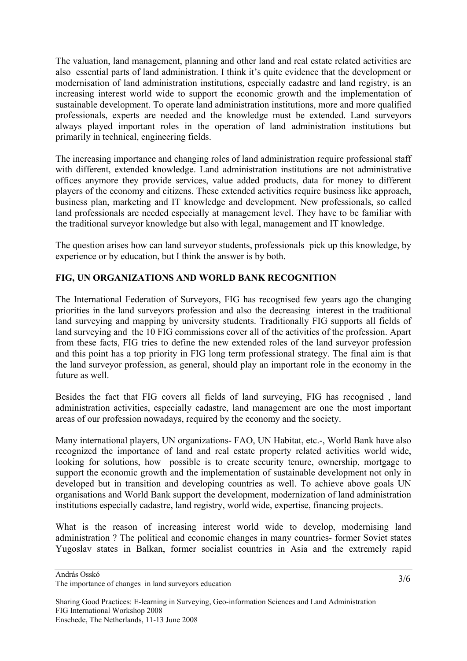The valuation, land management, planning and other land and real estate related activities are also essential parts of land administration. I think it's quite evidence that the development or modernisation of land administration institutions, especially cadastre and land registry, is an increasing interest world wide to support the economic growth and the implementation of sustainable development. To operate land administration institutions, more and more qualified professionals, experts are needed and the knowledge must be extended. Land surveyors always played important roles in the operation of land administration institutions but primarily in technical, engineering fields.

The increasing importance and changing roles of land administration require professional staff with different, extended knowledge. Land administration institutions are not administrative offices anymore they provide services, value added products, data for money to different players of the economy and citizens. These extended activities require business like approach, business plan, marketing and IT knowledge and development. New professionals, so called land professionals are needed especially at management level. They have to be familiar with the traditional surveyor knowledge but also with legal, management and IT knowledge.

The question arises how can land surveyor students, professionals pick up this knowledge, by experience or by education, but I think the answer is by both.

# **FIG, UN ORGANIZATIONS AND WORLD BANK RECOGNITION**

The International Federation of Surveyors, FIG has recognised few years ago the changing priorities in the land surveyors profession and also the decreasing interest in the traditional land surveying and mapping by university students. Traditionally FIG supports all fields of land surveying and the 10 FIG commissions cover all of the activities of the profession. Apart from these facts, FIG tries to define the new extended roles of the land surveyor profession and this point has a top priority in FIG long term professional strategy. The final aim is that the land surveyor profession, as general, should play an important role in the economy in the future as well.

Besides the fact that FIG covers all fields of land surveying, FIG has recognised , land administration activities, especially cadastre, land management are one the most important areas of our profession nowadays, required by the economy and the society.

Many international players, UN organizations- FAO, UN Habitat, etc.-, World Bank have also recognized the importance of land and real estate property related activities world wide, looking for solutions, how possible is to create security tenure, ownership, mortgage to support the economic growth and the implementation of sustainable development not only in developed but in transition and developing countries as well. To achieve above goals UN organisations and World Bank support the development, modernization of land administration institutions especially cadastre, land registry, world wide, expertise, financing projects.

What is the reason of increasing interest world wide to develop, modernising land administration ? The political and economic changes in many countries- former Soviet states Yugoslav states in Balkan, former socialist countries in Asia and the extremely rapid

András Osskó

The importance of changes in land surveyors education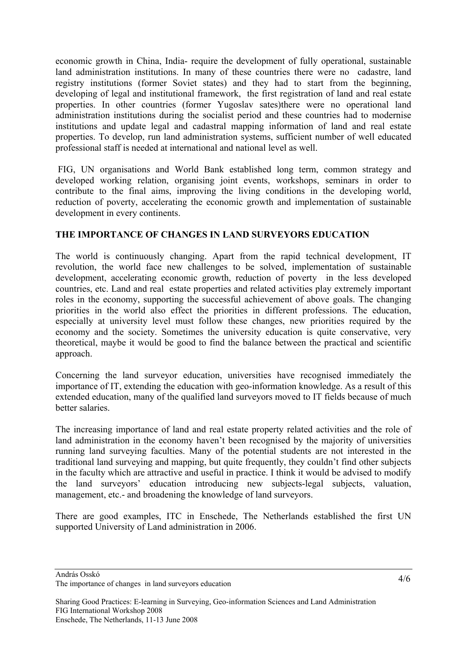economic growth in China, India- require the development of fully operational, sustainable land administration institutions. In many of these countries there were no cadastre, land registry institutions (former Soviet states) and they had to start from the beginning, developing of legal and institutional framework, the first registration of land and real estate properties. In other countries (former Yugoslav sates)there were no operational land administration institutions during the socialist period and these countries had to modernise institutions and update legal and cadastral mapping information of land and real estate properties. To develop, run land administration systems, sufficient number of well educated professional staff is needed at international and national level as well.

 FIG, UN organisations and World Bank established long term, common strategy and developed working relation, organising joint events, workshops, seminars in order to contribute to the final aims, improving the living conditions in the developing world, reduction of poverty, accelerating the economic growth and implementation of sustainable development in every continents.

# **THE IMPORTANCE OF CHANGES IN LAND SURVEYORS EDUCATION**

The world is continuously changing. Apart from the rapid technical development, IT revolution, the world face new challenges to be solved, implementation of sustainable development, accelerating economic growth, reduction of poverty in the less developed countries, etc. Land and real estate properties and related activities play extremely important roles in the economy, supporting the successful achievement of above goals. The changing priorities in the world also effect the priorities in different professions. The education, especially at university level must follow these changes, new priorities required by the economy and the society. Sometimes the university education is quite conservative, very theoretical, maybe it would be good to find the balance between the practical and scientific approach.

Concerning the land surveyor education, universities have recognised immediately the importance of IT, extending the education with geo-information knowledge. As a result of this extended education, many of the qualified land surveyors moved to IT fields because of much better salaries.

The increasing importance of land and real estate property related activities and the role of land administration in the economy haven't been recognised by the majority of universities running land surveying faculties. Many of the potential students are not interested in the traditional land surveying and mapping, but quite frequently, they couldn't find other subjects in the faculty which are attractive and useful in practice. I think it would be advised to modify the land surveyors' education introducing new subjects-legal subjects, valuation, management, etc.- and broadening the knowledge of land surveyors.

There are good examples, ITC in Enschede, The Netherlands established the first UN supported University of Land administration in 2006.

András Osskó

The importance of changes in land surveyors education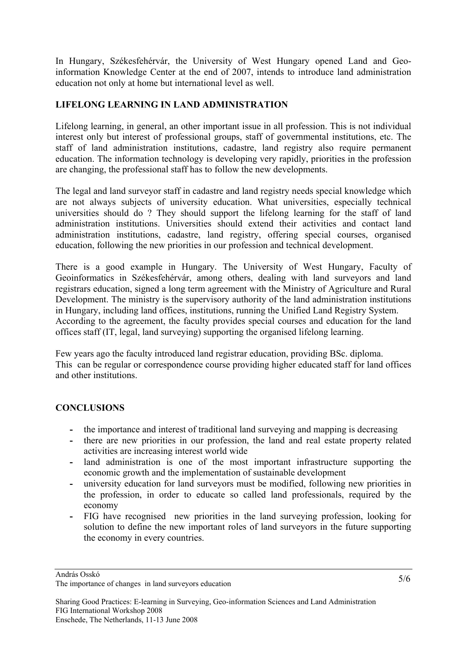In Hungary, Székesfehérvár, the University of West Hungary opened Land and Geoinformation Knowledge Center at the end of 2007, intends to introduce land administration education not only at home but international level as well.

# **LIFELONG LEARNING IN LAND ADMINISTRATION**

Lifelong learning, in general, an other important issue in all profession. This is not individual interest only but interest of professional groups, staff of governmental institutions, etc. The staff of land administration institutions, cadastre, land registry also require permanent education. The information technology is developing very rapidly, priorities in the profession are changing, the professional staff has to follow the new developments.

The legal and land surveyor staff in cadastre and land registry needs special knowledge which are not always subjects of university education. What universities, especially technical universities should do ? They should support the lifelong learning for the staff of land administration institutions. Universities should extend their activities and contact land administration institutions, cadastre, land registry, offering special courses, organised education, following the new priorities in our profession and technical development.

There is a good example in Hungary. The University of West Hungary, Faculty of Geoinformatics in Székesfehérvár, among others, dealing with land surveyors and land registrars education, signed a long term agreement with the Ministry of Agriculture and Rural Development. The ministry is the supervisory authority of the land administration institutions in Hungary, including land offices, institutions, running the Unified Land Registry System. According to the agreement, the faculty provides special courses and education for the land offices staff (IT, legal, land surveying) supporting the organised lifelong learning.

Few years ago the faculty introduced land registrar education, providing BSc. diploma. This can be regular or correspondence course providing higher educated staff for land offices and other institutions.

# **CONCLUSIONS**

- **-** the importance and interest of traditional land surveying and mapping is decreasing
- **-** there are new priorities in our profession, the land and real estate property related activities are increasing interest world wide
- **-** land administration is one of the most important infrastructure supporting the economic growth and the implementation of sustainable development
- **-** university education for land surveyors must be modified, following new priorities in the profession, in order to educate so called land professionals, required by the economy
- **-** FIG have recognised new priorities in the land surveying profession, looking for solution to define the new important roles of land surveyors in the future supporting the economy in every countries.

András Osskó

The importance of changes in land surveyors education